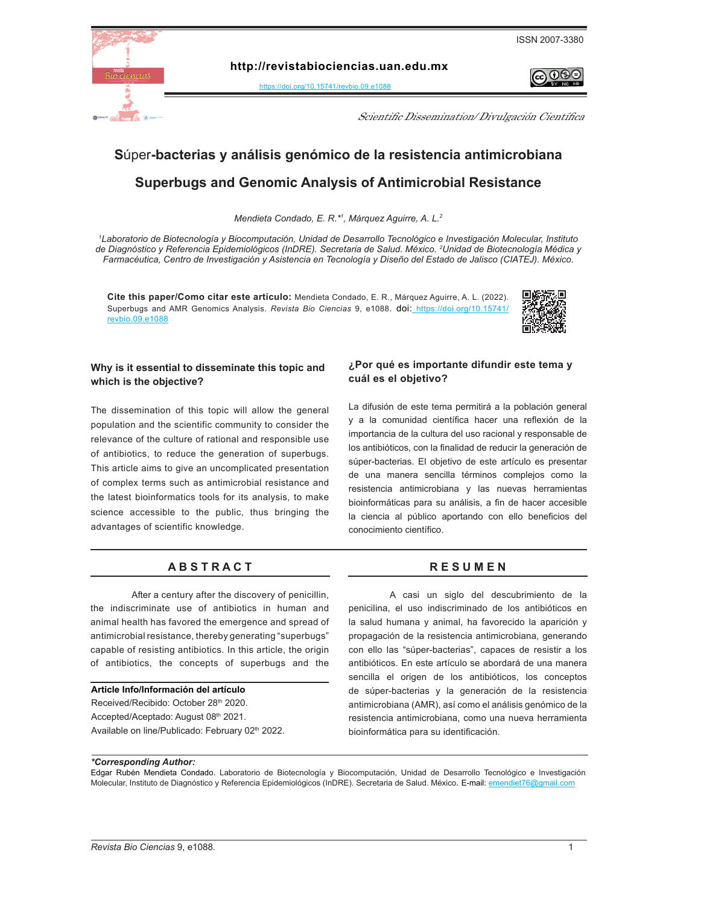

രജ∈

**http://revistabiociencias.uan.edu.mx** 

<https://doi.org/10.15741/revbio.09.e1088>

Scientific Dissemination/ Divulgación Científica

### **S**úper**-bacterias y análisis genómico de la resistencia antimicrobiana Superbugs and Genomic Analysis of Antimicrobial Resistance**

*Mendieta Condado, E. R.\*1 , Márquez Aguirre, A. L.2*

*1 Laboratorio de Biotecnología y Biocomputación, Unidad de Desarrollo Tecnológico e Investigación Molecular, Instituto de Diagnóstico y Referencia Epidemiológicos (InDRE). Secretaria de Salud. México. 2 Unidad de Biotecnología Médica y Farmacéutica, Centro de Investigación y Asistencia en Tecnología y Diseño del Estado de Jalisco (CIATEJ). México.*

**Cite this paper/Como citar este artículo:** Mendieta Condado, E. R., Márquez Aguirre, A. L. (2022). Superbugs and AMR Genomics Analysis. *Revista Bio Ciencias* 9, e108[8. doi:](doi: https://doi.org/10.15741/revbio.08.e982
) [https://doi.org/10.15741/]( https://doi.org/10.15741/revbio.09.e1088) [revbio.09.e1088]( https://doi.org/10.15741/revbio.09.e1088)



#### **Why is it essential to disseminate this topic and which is the objective?**

The dissemination of this topic will allow the general population and the scientific community to consider the relevance of the culture of rational and responsible use of antibiotics, to reduce the generation of superbugs. This article aims to give an uncomplicated presentation of complex terms such as antimicrobial resistance and the latest bioinformatics tools for its analysis, to make science accessible to the public, thus bringing the advantages of scientific knowledge.

#### A B S T R A C T RESUMEN

After a century after the discovery of penicillin, the indiscriminate use of antibiotics in human and animal health has favored the emergence and spread of antimicrobial resistance, thereby generating "superbugs" capable of resisting antibiotics. In this article, the origin of antibiotics, the concepts of superbugs and the

#### **Article Info/Información del artículo**

Received/Recibido: October 28th 2020. Accepted/Aceptado: August 08th 2021. Available on line/Publicado: February 02<sup>th</sup> 2022.

#### **¿Por qué es importante difundir este tema y cuál es el objetivo?**

La difusión de este tema permitirá a la población general y a la comunidad científica hacer una reflexión de la importancia de la cultura del uso racional y responsable de los antibióticos, con la finalidad de reducir la generación de súper-bacterias. El objetivo de este artículo es presentar de una manera sencilla términos complejos como la resistencia antimicrobiana y las nuevas herramientas bioinformáticas para su análisis, a fin de hacer accesible la ciencia al público aportando con ello beneficios del conocimiento científico.

A casi un siglo del descubrimiento de la penicilina, el uso indiscriminado de los antibióticos en la salud humana y animal, ha favorecido la aparición y propagación de la resistencia antimicrobiana, generando con ello las "súper-bacterias", capaces de resistir a los antibióticos. En este artículo se abordará de una manera sencilla el origen de los antibióticos, los conceptos de súper-bacterias y la generación de la resistencia antimicrobiana (AMR), así como el análisis genómico de la resistencia antimicrobiana, como una nueva herramienta bioinformática para su identificación.

#### *\*Corresponding Author:*

Edgar Rubén Mendieta Condado. Laboratorio de Biotecnología y Biocomputación, Unidad de Desarrollo Tecnológico e Investigación Molecular, Instituto de Diagnóstico y Referencia Epidemiológicos (InDRE). Secretaria de Salud. México*.* E-mail: [emendiet76@gmail.com](mailto:emendiet76%40gmail.com?subject=)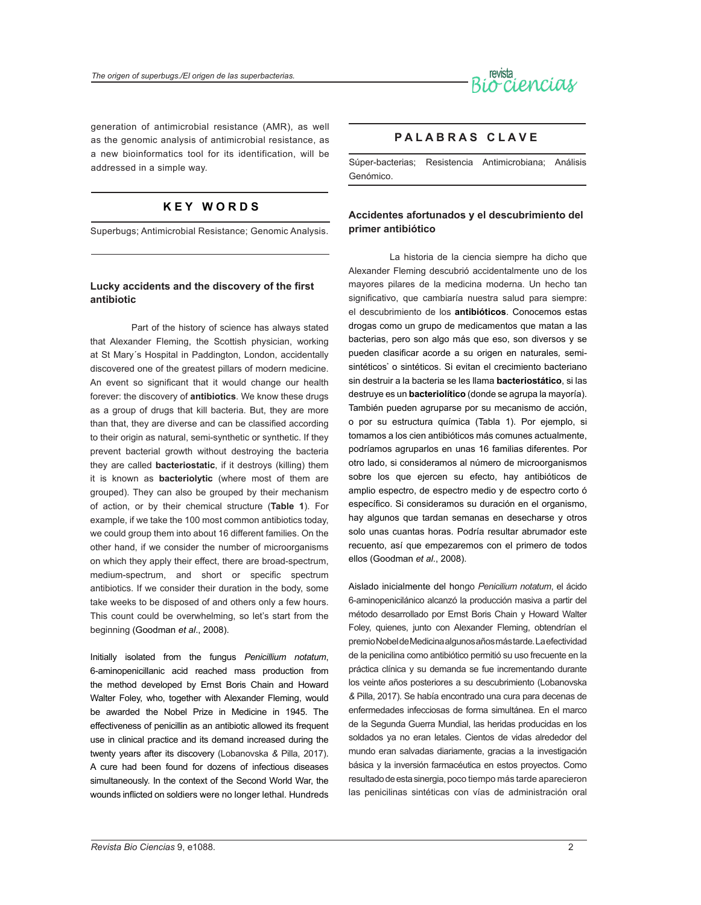

generation of antimicrobial resistance (AMR), as well as the genomic analysis of antimicrobial resistance, as a new bioinformatics tool for its identification, will be addressed in a simple way.

### **K E Y W O R D S**

Superbugs; Antimicrobial Resistance; Genomic Analysis.

#### **Lucky accidents and the discovery of the first antibiotic**

Part of the history of science has always stated that Alexander Fleming, the Scottish physician, working at St Mary´s Hospital in Paddington, London, accidentally discovered one of the greatest pillars of modern medicine. An event so significant that it would change our health forever: the discovery of **antibiotics**. We know these drugs as a group of drugs that kill bacteria. But, they are more than that, they are diverse and can be classified according to their origin as natural, semi-synthetic or synthetic. If they prevent bacterial growth without destroying the bacteria they are called **bacteriostatic**, if it destroys (killing) them it is known as **bacteriolytic** (where most of them are grouped). They can also be grouped by their mechanism of action, or by their chemical structure (**Table 1**). For example, if we take the 100 most common antibiotics today, we could group them into about 16 different families. On the other hand, if we consider the number of microorganisms on which they apply their effect, there are broad-spectrum, medium-spectrum, and short or specific spectrum antibiotics. If we consider their duration in the body, some take weeks to be disposed of and others only a few hours. This count could be overwhelming, so let's start from the beginning (Goodman *et al*., 2008).

Initially isolated from the fungus *Penicillium notatum*, 6-aminopenicillanic acid reached mass production from the method developed by Ernst Boris Chain and Howard Walter Foley, who, together with Alexander Fleming, would be awarded the Nobel Prize in Medicine in 1945. The effectiveness of penicillin as an antibiotic allowed its frequent use in clinical practice and its demand increased during the twenty years after its discovery (Lobanovska *&* Pilla, 2017). A cure had been found for dozens of infectious diseases simultaneously. In the context of the Second World War, the wounds inflicted on soldiers were no longer lethal. Hundreds

#### **P A L A B R A S C L A V E**

Súper-bacterias; Resistencia Antimicrobiana; Análisis Genómico.

#### **Accidentes afortunados y el descubrimiento del primer antibiótico**

La historia de la ciencia siempre ha dicho que Alexander Fleming descubrió accidentalmente uno de los mayores pilares de la medicina moderna. Un hecho tan significativo, que cambiaría nuestra salud para siempre: el descubrimiento de los **antibióticos**. Conocemos estas drogas como un grupo de medicamentos que matan a las bacterias, pero son algo más que eso, son diversos y se pueden clasificar acorde a su origen en naturales*,* semisintéticos<sup>\*</sup> o sintéticos. Si evitan el crecimiento bacteriano sin destruir a la bacteria se les llama **bacteriostático**, si las destruye es un **bacteriolítico** (donde se agrupa la mayoría). También pueden agruparse por su mecanismo de acción, o por su estructura química (Tabla 1). Por ejemplo, si tomamos a los cien antibióticos más comunes actualmente, podríamos agruparlos en unas 16 familias diferentes. Por otro lado, si consideramos al número de microorganismos sobre los que ejercen su efecto, hay antibióticos de amplio espectro, de espectro medio y de espectro corto ó específico. Si consideramos su duración en el organismo, hay algunos que tardan semanas en desecharse y otros solo unas cuantas horas. Podría resultar abrumador este recuento, así que empezaremos con el primero de todos ellos (Goodman *et al*., 2008).

Aislado inicialmente del hongo *Penicilium notatum*, el ácido 6-aminopenicilánico alcanzó la producción masiva a partir del método desarrollado por Ernst Boris Chain y Howard Walter Foley, quienes, junto con Alexander Fleming, obtendrían el premio Nobel de Medicina algunos años más tarde. La efectividad de la penicilina como antibiótico permitió su uso frecuente en la práctica clínica y su demanda se fue incrementando durante los veinte años posteriores a su descubrimiento (Lobanovska *&* Pilla, 2017). Se había encontrado una cura para decenas de enfermedades infecciosas de forma simultánea. En el marco de la Segunda Guerra Mundial, las heridas producidas en los soldados ya no eran letales. Cientos de vidas alrededor del mundo eran salvadas diariamente, gracias a la investigación básica y la inversión farmacéutica en estos proyectos. Como resultado de esta sinergia, poco tiempo más tarde aparecieron las penicilinas sintéticas con vías de administración oral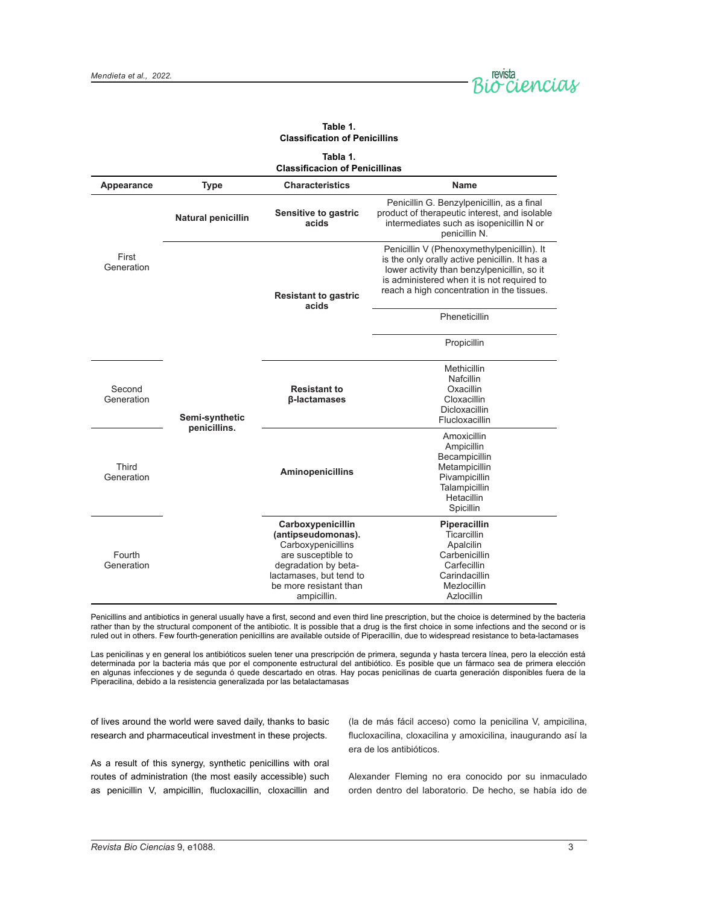

| Tabla 1.<br><b>Classificacion of Penicillinas</b> |                                |                                                                                                                                                                                 |                                                                                                                                                                                                                                         |
|---------------------------------------------------|--------------------------------|---------------------------------------------------------------------------------------------------------------------------------------------------------------------------------|-----------------------------------------------------------------------------------------------------------------------------------------------------------------------------------------------------------------------------------------|
| Appearance                                        | <b>Type</b>                    | <b>Characteristics</b>                                                                                                                                                          | Name                                                                                                                                                                                                                                    |
| First<br>Generation                               | <b>Natural penicillin</b>      | Sensitive to gastric<br>acids                                                                                                                                                   | Penicillin G. Benzylpenicillin, as a final<br>product of therapeutic interest, and isolable<br>intermediates such as isopenicillin N or<br>penicillin N.                                                                                |
|                                                   | Semi-synthetic<br>penicillins. | <b>Resistant to gastric</b><br>acids                                                                                                                                            | Penicillin V (Phenoxymethylpenicillin). It<br>is the only orally active penicillin. It has a<br>lower activity than benzylpenicillin, so it<br>is administered when it is not required to<br>reach a high concentration in the tissues. |
|                                                   |                                |                                                                                                                                                                                 | Pheneticillin                                                                                                                                                                                                                           |
|                                                   |                                |                                                                                                                                                                                 | Propicillin                                                                                                                                                                                                                             |
| Second<br>Generation                              |                                | <b>Resistant to</b><br>β-lactamases                                                                                                                                             | Methicillin<br>Nafcillin<br>Oxacillin<br>Cloxacillin<br><b>Dicloxacillin</b><br>Flucloxacillin                                                                                                                                          |
| Third<br>Generation                               |                                | <b>Aminopenicillins</b>                                                                                                                                                         | Amoxicillin<br>Ampicillin<br>Becampicillin<br>Metampicillin<br>Pivampicillin<br>Talampicillin<br>Hetacillin<br>Spicillin                                                                                                                |
| Fourth<br>Generation                              |                                | Carboxypenicillin<br>(antipseudomonas).<br>Carboxypenicillins<br>are susceptible to<br>degradation by beta-<br>lactamases, but tend to<br>be more resistant than<br>ampicillin. | Piperacillin<br>Ticarcillin<br>Apalcilin<br>Carbenicillin<br>Carfecillin<br>Carindacillin<br>Mezlocillin<br>Azlocillin                                                                                                                  |

**Table 1. Classification of Penicillins**

Penicillins and antibiotics in general usually have a first, second and even third line prescription, but the choice is determined by the bacteria rather than by the structural component of the antibiotic. It is possible that a drug is the first choice in some infections and the second or is ruled out in others. Few fourth-generation penicillins are available outside of Piperacillin, due to widespread resistance to beta-lactamases

Las penicilinas y en general los antibióticos suelen tener una prescripción de primera, segunda y hasta tercera línea, pero la elección está determinada por la bacteria más que por el componente estructural del antibiótico. Es posible que un fármaco sea de primera elección en algunas infecciones y de segunda ó quede descartado en otras. Hay pocas penicilinas de cuarta generación disponibles fuera de la Piperacilina, debido a la resistencia generalizada por las betalactamasas

of lives around the world were saved daily, thanks to basic research and pharmaceutical investment in these projects.

(la de más fácil acceso) como la penicilina V, ampicilina, flucloxacilina, cloxacilina y amoxicilina, inaugurando así la era de los antibióticos.

As a result of this synergy, synthetic penicillins with oral routes of administration (the most easily accessible) such as penicillin V, ampicillin, flucloxacillin, cloxacillin and

Alexander Fleming no era conocido por su inmaculado orden dentro del laboratorio. De hecho, se había ido de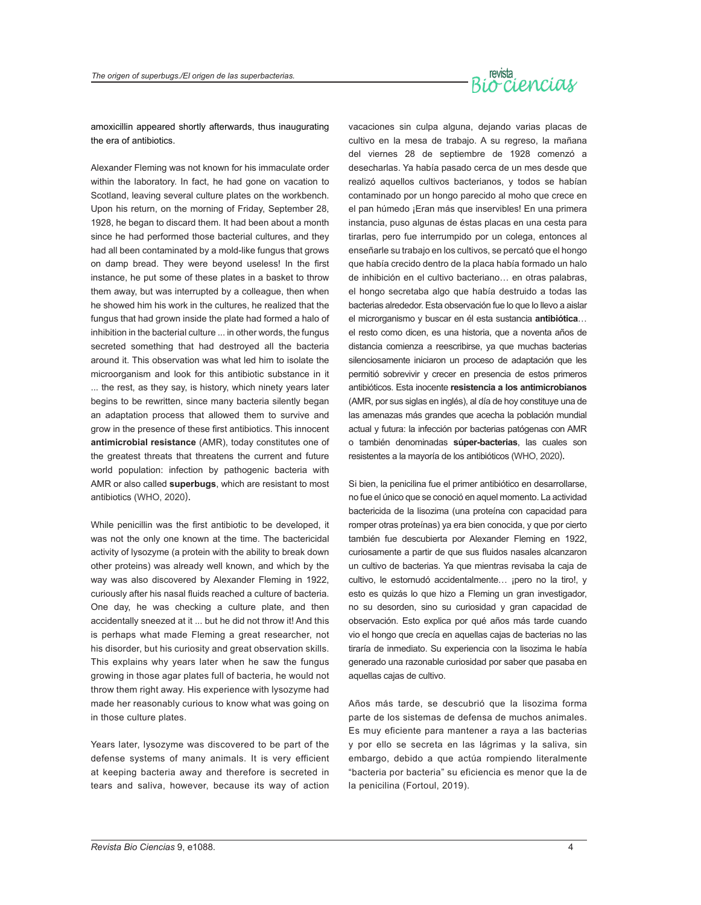# revista<br>Bio-ciencias

amoxicillin appeared shortly afterwards, thus inaugurating the era of antibiotics.

Alexander Fleming was not known for his immaculate order within the laboratory. In fact, he had gone on vacation to Scotland, leaving several culture plates on the workbench. Upon his return, on the morning of Friday, September 28, 1928, he began to discard them. It had been about a month since he had performed those bacterial cultures, and they had all been contaminated by a mold-like fungus that grows on damp bread. They were beyond useless! In the first instance, he put some of these plates in a basket to throw them away, but was interrupted by a colleague, then when he showed him his work in the cultures, he realized that the fungus that had grown inside the plate had formed a halo of inhibition in the bacterial culture ... in other words, the fungus secreted something that had destroyed all the bacteria around it. This observation was what led him to isolate the microorganism and look for this antibiotic substance in it ... the rest, as they say, is history, which ninety years later begins to be rewritten, since many bacteria silently began an adaptation process that allowed them to survive and grow in the presence of these first antibiotics. This innocent **antimicrobial resistance** (AMR), today constitutes one of the greatest threats that threatens the current and future world population: infection by pathogenic bacteria with AMR or also called **superbugs**, which are resistant to most antibiotics (WHO, 2020).

While penicillin was the first antibiotic to be developed, it was not the only one known at the time. The bactericidal activity of lysozyme (a protein with the ability to break down other proteins) was already well known, and which by the way was also discovered by Alexander Fleming in 1922, curiously after his nasal fluids reached a culture of bacteria. One day, he was checking a culture plate, and then accidentally sneezed at it ... but he did not throw it! And this is perhaps what made Fleming a great researcher, not his disorder, but his curiosity and great observation skills. This explains why years later when he saw the fungus growing in those agar plates full of bacteria, he would not throw them right away. His experience with lysozyme had made her reasonably curious to know what was going on in those culture plates.

Years later, lysozyme was discovered to be part of the defense systems of many animals. It is very efficient at keeping bacteria away and therefore is secreted in tears and saliva, however, because its way of action

vacaciones sin culpa alguna, dejando varias placas de cultivo en la mesa de trabajo. A su regreso, la mañana del viernes 28 de septiembre de 1928 comenzó a desecharlas. Ya había pasado cerca de un mes desde que realizó aquellos cultivos bacterianos, y todos se habían contaminado por un hongo parecido al moho que crece en el pan húmedo ¡Eran más que inservibles! En una primera instancia, puso algunas de éstas placas en una cesta para tirarlas, pero fue interrumpido por un colega, entonces al enseñarle su trabajo en los cultivos, se percató que el hongo que había crecido dentro de la placa había formado un halo de inhibición en el cultivo bacteriano… en otras palabras, el hongo secretaba algo que había destruido a todas las bacterias alrededor. Esta observación fue lo que lo llevo a aislar el microrganismo y buscar en él esta sustancia **antibiótica**… el resto como dicen, es una historia, que a noventa años de distancia comienza a reescribirse, ya que muchas bacterias silenciosamente iniciaron un proceso de adaptación que les permitió sobrevivir y crecer en presencia de estos primeros antibióticos. Esta inocente **resistencia a los antimicrobianos** (AMR, por sus siglas en inglés), al día de hoy constituye una de las amenazas más grandes que acecha la población mundial actual y futura: la infección por bacterias patógenas con AMR o también denominadas **súper-bacterias**, las cuales son resistentes a la mayoría de los antibióticos (WHO, 2020).

Si bien, la penicilina fue el primer antibiótico en desarrollarse, no fue el único que se conoció en aquel momento. La actividad bactericida de la lisozima (una proteína con capacidad para romper otras proteínas) ya era bien conocida, y que por cierto también fue descubierta por Alexander Fleming en 1922, curiosamente a partir de que sus fluidos nasales alcanzaron un cultivo de bacterias. Ya que mientras revisaba la caja de cultivo, le estornudó accidentalmente... ¡pero no la tiro!, y esto es quizás lo que hizo a Fleming un gran investigador, no su desorden, sino su curiosidad y gran capacidad de observación. Esto explica por qué años más tarde cuando vio el hongo que crecía en aquellas cajas de bacterias no las tiraría de inmediato. Su experiencia con la lisozima le había generado una razonable curiosidad por saber que pasaba en aquellas cajas de cultivo.

Años más tarde, se descubrió que la lisozima forma parte de los sistemas de defensa de muchos animales. Es muy eficiente para mantener a raya a las bacterias y por ello se secreta en las lágrimas y la saliva, sin embargo, debido a que actúa rompiendo literalmente "bacteria por bacteria" su eficiencia es menor que la de la penicilina (Fortoul, 2019).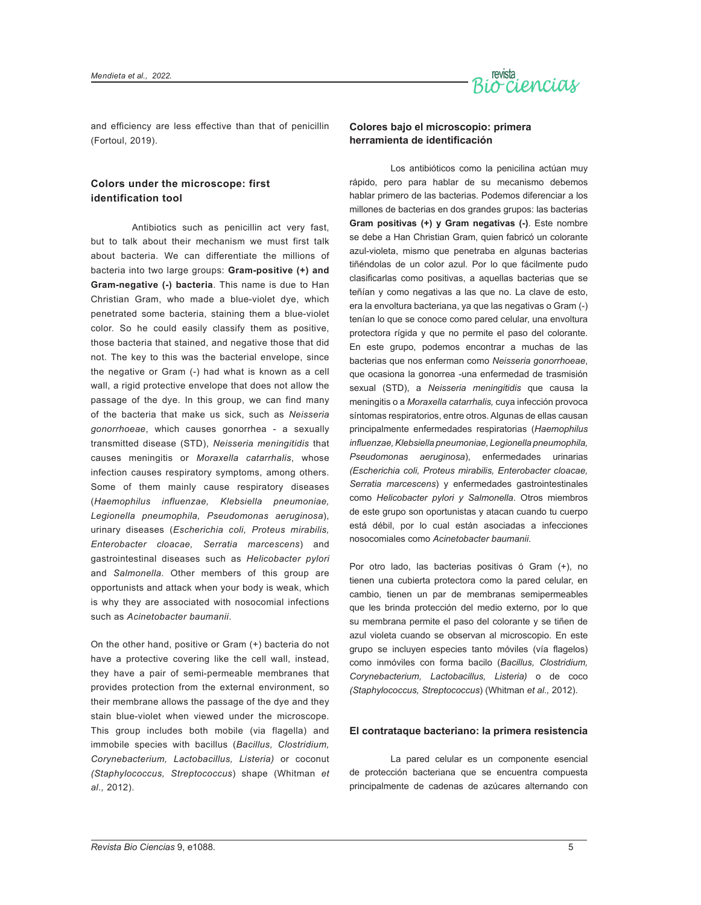

and efficiency are less effective than that of penicillin (Fortoul, 2019).

#### **Colors under the microscope: first identification tool**

Antibiotics such as penicillin act very fast, but to talk about their mechanism we must first talk about bacteria. We can differentiate the millions of bacteria into two large groups: **Gram-positive (+) and Gram-negative (-) bacteria**. This name is due to Han Christian Gram, who made a blue-violet dye, which penetrated some bacteria, staining them a blue-violet color. So he could easily classify them as positive, those bacteria that stained, and negative those that did not. The key to this was the bacterial envelope, since the negative or Gram (-) had what is known as a cell wall, a rigid protective envelope that does not allow the passage of the dye. In this group, we can find many of the bacteria that make us sick, such as *Neisseria gonorrhoeae*, which causes gonorrhea - a sexually transmitted disease (STD), *Neisseria meningitidis* that causes meningitis or *Moraxella catarrhalis*, whose infection causes respiratory symptoms, among others. Some of them mainly cause respiratory diseases (*Haemophilus influenzae, Klebsiella pneumoniae, Legionella pneumophila, Pseudomonas aeruginosa*), urinary diseases (*Escherichia coli, Proteus mirabilis, Enterobacter cloacae, Serratia marcescens*) and gastrointestinal diseases such as *Helicobacter pylori* and *Salmonella*. Other members of this group are opportunists and attack when your body is weak, which is why they are associated with nosocomial infections such as *Acinetobacter baumanii*.

On the other hand, positive or Gram (+) bacteria do not have a protective covering like the cell wall, instead, they have a pair of semi-permeable membranes that provides protection from the external environment, so their membrane allows the passage of the dye and they stain blue-violet when viewed under the microscope. This group includes both mobile (via flagella) and immobile species with bacillus (*Bacillus, Clostridium, Corynebacterium, Lactobacillus, Listeria)* or coconut *(Staphylococcus, Streptococcus*) shape (Whitman *et al.,* 2012).

#### **Colores bajo el microscopio: primera herramienta de identificación**

Los antibióticos como la penicilina actúan muy rápido, pero para hablar de su mecanismo debemos hablar primero de las bacterias. Podemos diferenciar a los millones de bacterias en dos grandes grupos: las bacterias **Gram positivas (+) y Gram negativas (-)**. Este nombre se debe a Han Christian Gram, quien fabricó un colorante azul-violeta, mismo que penetraba en algunas bacterias tiñéndolas de un color azul. Por lo que fácilmente pudo clasificarlas como positivas, a aquellas bacterias que se teñían y como negativas a las que no. La clave de esto, era la envoltura bacteriana, ya que las negativas o Gram (-) tenían lo que se conoce como pared celular, una envoltura protectora rígida y que no permite el paso del colorante. En este grupo, podemos encontrar a muchas de las bacterias que nos enferman como *Neisseria gonorrhoeae*, que ocasiona la gonorrea -una enfermedad de trasmisión sexual (STD), a *Neisseria meningitidis* que causa la meningitis o a *Moraxella catarrhalis,* cuya infección provoca síntomas respiratorios, entre otros. Algunas de ellas causan principalmente enfermedades respiratorias (*Haemophilus influenzae, Klebsiella pneumoniae, Legionella pneumophila, Pseudomonas aeruginosa*), enfermedades urinarias *(Escherichia coli, Proteus mirabilis, Enterobacter cloacae, Serratia marcescens*) y enfermedades gastrointestinales como *Helicobacter pylori y Salmonella*. Otros miembros de este grupo son oportunistas y atacan cuando tu cuerpo está débil, por lo cual están asociadas a infecciones nosocomiales como *Acinetobacter baumanii*.

Por otro lado, las bacterias positivas ó Gram (+), no tienen una cubierta protectora como la pared celular, en cambio, tienen un par de membranas semipermeables que les brinda protección del medio externo, por lo que su membrana permite el paso del colorante y se tiñen de azul violeta cuando se observan al microscopio. En este grupo se incluyen especies tanto móviles (vía flagelos) como inmóviles con forma bacilo (*Bacillus, Clostridium, Corynebacterium, Lactobacillus, Listeria)* o de coco *(Staphylococcus, Streptococcus*) (Whitman *et al.,* 2012).

#### **El contrataque bacteriano: la primera resistencia**

La pared celular es un componente esencial de protección bacteriana que se encuentra compuesta principalmente de cadenas de azúcares alternando con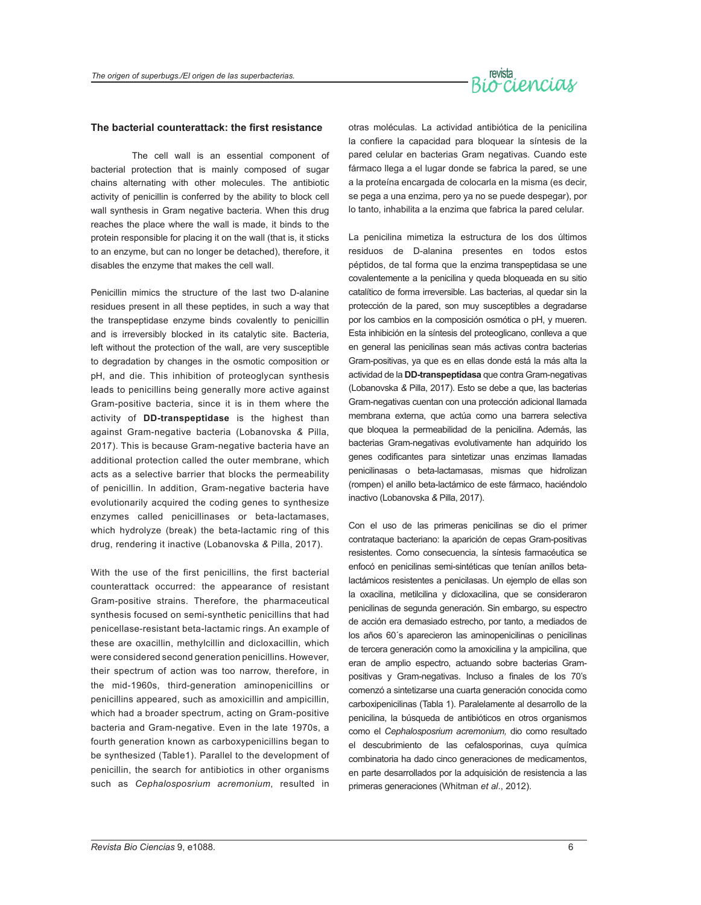

#### **The bacterial counterattack: the first resistance**

The cell wall is an essential component of bacterial protection that is mainly composed of sugar chains alternating with other molecules. The antibiotic activity of penicillin is conferred by the ability to block cell wall synthesis in Gram negative bacteria. When this drug reaches the place where the wall is made, it binds to the protein responsible for placing it on the wall (that is, it sticks to an enzyme, but can no longer be detached), therefore, it disables the enzyme that makes the cell wall.

Penicillin mimics the structure of the last two D-alanine residues present in all these peptides, in such a way that the transpeptidase enzyme binds covalently to penicillin and is irreversibly blocked in its catalytic site. Bacteria, left without the protection of the wall, are very susceptible to degradation by changes in the osmotic composition or pH, and die. This inhibition of proteoglycan synthesis leads to penicillins being generally more active against Gram-positive bacteria, since it is in them where the activity of **DD-transpeptidase** is the highest than against Gram-negative bacteria (Lobanovska *&* Pilla, 2017). This is because Gram-negative bacteria have an additional protection called the outer membrane, which acts as a selective barrier that blocks the permeability of penicillin. In addition, Gram-negative bacteria have evolutionarily acquired the coding genes to synthesize enzymes called penicillinases or beta-lactamases, which hydrolyze (break) the beta-lactamic ring of this drug, rendering it inactive (Lobanovska *&* Pilla, 2017).

With the use of the first penicillins, the first bacterial counterattack occurred: the appearance of resistant Gram-positive strains. Therefore, the pharmaceutical synthesis focused on semi-synthetic penicillins that had penicellase-resistant beta-lactamic rings. An example of these are oxacillin, methylcillin and dicloxacillin, which were considered second generation penicillins. However, their spectrum of action was too narrow, therefore, in the mid-1960s, third-generation aminopenicillins or penicillins appeared, such as amoxicillin and ampicillin, which had a broader spectrum, acting on Gram-positive bacteria and Gram-negative. Even in the late 1970s, a fourth generation known as carboxypenicillins began to be synthesized (Table1). Parallel to the development of penicillin, the search for antibiotics in other organisms such as *Cephalosposrium acremonium*, resulted in

otras moléculas. La actividad antibiótica de la penicilina la confiere la capacidad para bloquear la síntesis de la pared celular en bacterias Gram negativas. Cuando este fármaco llega a el lugar donde se fabrica la pared, se une a la proteína encargada de colocarla en la misma (es decir, se pega a una enzima, pero ya no se puede despegar), por lo tanto, inhabilita a la enzima que fabrica la pared celular.

La penicilina mimetiza la estructura de los dos últimos residuos de D-alanina presentes en todos estos péptidos, de tal forma que la enzima transpeptidasa se une covalentemente a la penicilina y queda bloqueada en su sitio catalítico de forma irreversible. Las bacterias, al quedar sin la protección de la pared, son muy susceptibles a degradarse por los cambios en la composición osmótica o pH, y mueren. Esta inhibición en la síntesis del proteoglicano, conlleva a que en general las penicilinas sean más activas contra bacterias Gram-positivas, ya que es en ellas donde está la más alta la actividad de la **DD-transpeptidasa** que contra Gram-negativas (Lobanovska *&* Pilla, 2017). Esto se debe a que, las bacterias Gram-negativas cuentan con una protección adicional llamada membrana externa, que actúa como una barrera selectiva que bloquea la permeabilidad de la penicilina. Además, las bacterias Gram-negativas evolutivamente han adquirido los genes codificantes para sintetizar unas enzimas llamadas penicilinasas o beta-lactamasas, mismas que hidrolizan (rompen) el anillo beta-lactámico de este fármaco, haciéndolo inactivo (Lobanovska *&* Pilla, 2017).

Con el uso de las primeras penicilinas se dio el primer contrataque bacteriano: la aparición de cepas Gram-positivas resistentes. Como consecuencia, la síntesis farmacéutica se enfocó en penicilinas semi-sintéticas que tenían anillos betalactámicos resistentes a penicilasas. Un ejemplo de ellas son la oxacilina, metilcilina y dicloxacilina, que se consideraron penicilinas de segunda generación. Sin embargo, su espectro de acción era demasiado estrecho, por tanto, a mediados de los años 60´s aparecieron las aminopenicilinas o penicilinas de tercera generación como la amoxicilina y la ampicilina, que eran de amplio espectro, actuando sobre bacterias Grampositivas y Gram-negativas. Incluso a finales de los 70's comenzó a sintetizarse una cuarta generación conocida como carboxipenicilinas (Tabla 1). Paralelamente al desarrollo de la penicilina, la búsqueda de antibióticos en otros organismos como el *Cephalosposrium acremonium,* dio como resultado el descubrimiento de las cefalosporinas, cuya química combinatoria ha dado cinco generaciones de medicamentos, en parte desarrollados por la adquisición de resistencia a las primeras generaciones (Whitman *et al*., 2012).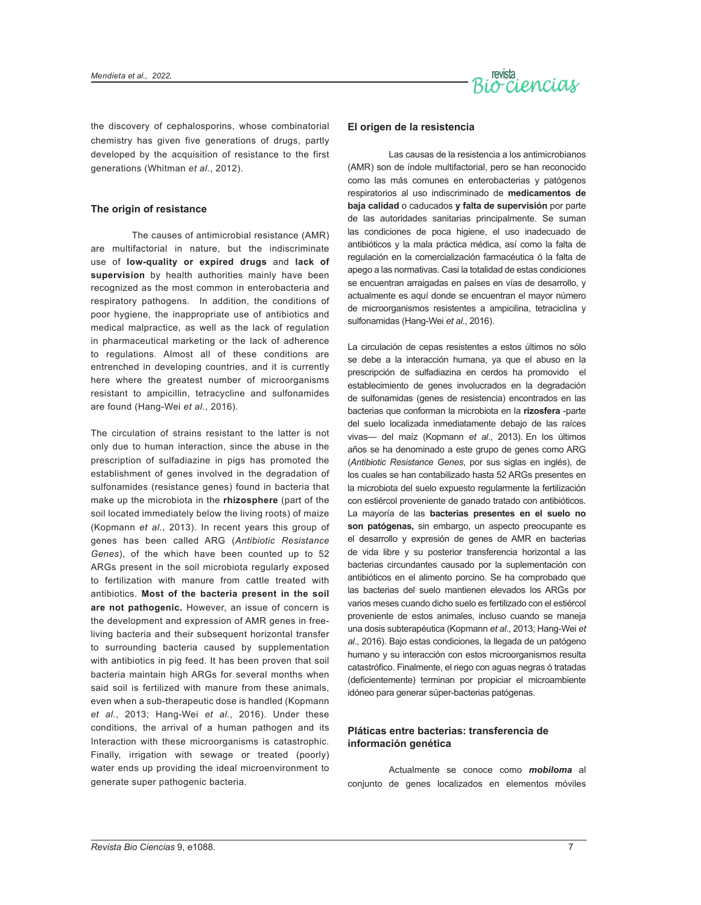

the discovery of cephalosporins, whose combinatorial chemistry has given five generations of drugs, partly developed by the acquisition of resistance to the first generations (Whitman *et al*., 2012).

#### **The origin of resistance**

The causes of antimicrobial resistance (AMR) are multifactorial in nature, but the indiscriminate use of **low-quality or expired drugs** and **lack of supervision** by health authorities mainly have been recognized as the most common in enterobacteria and respiratory pathogens. In addition, the conditions of poor hygiene, the inappropriate use of antibiotics and medical malpractice, as well as the lack of regulation in pharmaceutical marketing or the lack of adherence to regulations. Almost all of these conditions are entrenched in developing countries, and it is currently here where the greatest number of microorganisms resistant to ampicillin, tetracycline and sulfonamides are found (Hang-Wei *et al*., 2016).

The circulation of strains resistant to the latter is not only due to human interaction, since the abuse in the prescription of sulfadiazine in pigs has promoted the establishment of genes involved in the degradation of sulfonamides (resistance genes) found in bacteria that make up the microbiota in the **rhizosphere** (part of the soil located immediately below the living roots) of maize (Kopmann *et al*., 2013). In recent years this group of genes has been called ARG (*Antibiotic Resistance Genes*), of the which have been counted up to 52 ARGs present in the soil microbiota regularly exposed to fertilization with manure from cattle treated with antibiotics. **Most of the bacteria present in the soil are not pathogenic.** However, an issue of concern is the development and expression of AMR genes in freeliving bacteria and their subsequent horizontal transfer to surrounding bacteria caused by supplementation with antibiotics in pig feed. It has been proven that soil bacteria maintain high ARGs for several months when said soil is fertilized with manure from these animals, even when a sub-therapeutic dose is handled (Kopmann *et al*., 2013; Hang-Wei *et al*., 2016). Under these conditions, the arrival of a human pathogen and its Interaction with these microorganisms is catastrophic. Finally, irrigation with sewage or treated (poorly) water ends up providing the ideal microenvironment to generate super pathogenic bacteria.

#### **El origen de la resistencia**

Las causas de la resistencia a los antimicrobianos (AMR) son de índole multifactorial, pero se han reconocido como las más comunes en enterobacterias y patógenos respiratorios al uso indiscriminado de **medicamentos de baja calidad** o caducados **y falta de supervisión** por parte de las autoridades sanitarias principalmente. Se suman las condiciones de poca higiene, el uso inadecuado de antibióticos y la mala práctica médica, así como la falta de regulación en la comercialización farmacéutica ó la falta de apego a las normativas. Casi la totalidad de estas condiciones se encuentran arraigadas en países en vías de desarrollo, y actualmente es aquí donde se encuentran el mayor número de microorganismos resistentes a ampicilina, tetraciclina y sulfonamidas (Hang-Wei *et al*., 2016).

La circulación de cepas resistentes a estos últimos no sólo se debe a la interacción humana, ya que el abuso en la prescripción de sulfadiazina en cerdos ha promovido el establecimiento de genes involucrados en la degradación de sulfonamidas (genes de resistencia) encontrados en las bacterias que conforman la microbiota en la **rizosfera** -parte del suelo localizada inmediatamente debajo de las raíces vivas— del maíz (Kopmann *et al*., 2013). En los últimos años se ha denominado a este grupo de genes como ARG (*Antibiotic Resistance Genes*, por sus siglas en inglés), de los cuales se han contabilizado hasta 52 ARGs presentes en la microbiota del suelo expuesto regularmente la fertilización con estiércol proveniente de ganado tratado con antibióticos. La mayoría de las **bacterias presentes en el suelo no son patógenas,** sin embargo, un aspecto preocupante es el desarrollo y expresión de genes de AMR en bacterias de vida libre y su posterior transferencia horizontal a las bacterias circundantes causado por la suplementación con antibióticos en el alimento porcino. Se ha comprobado que las bacterias del suelo mantienen elevados los ARGs por varios meses cuando dicho suelo es fertilizado con el estiércol proveniente de estos animales, incluso cuando se maneja una dosis subterapéutica (Kopmann *et al*., 2013; Hang-Wei *et al*., 2016). Bajo estas condiciones, la llegada de un patógeno humano y su interacción con estos microorganismos resulta catastrófico. Finalmente, el riego con aguas negras ó tratadas (deficientemente) terminan por propiciar el microambiente idóneo para generar súper-bacterias patógenas.

#### **Pláticas entre bacterias: transferencia de información genética**

Actualmente se conoce como *mobiloma* al conjunto de genes localizados en elementos móviles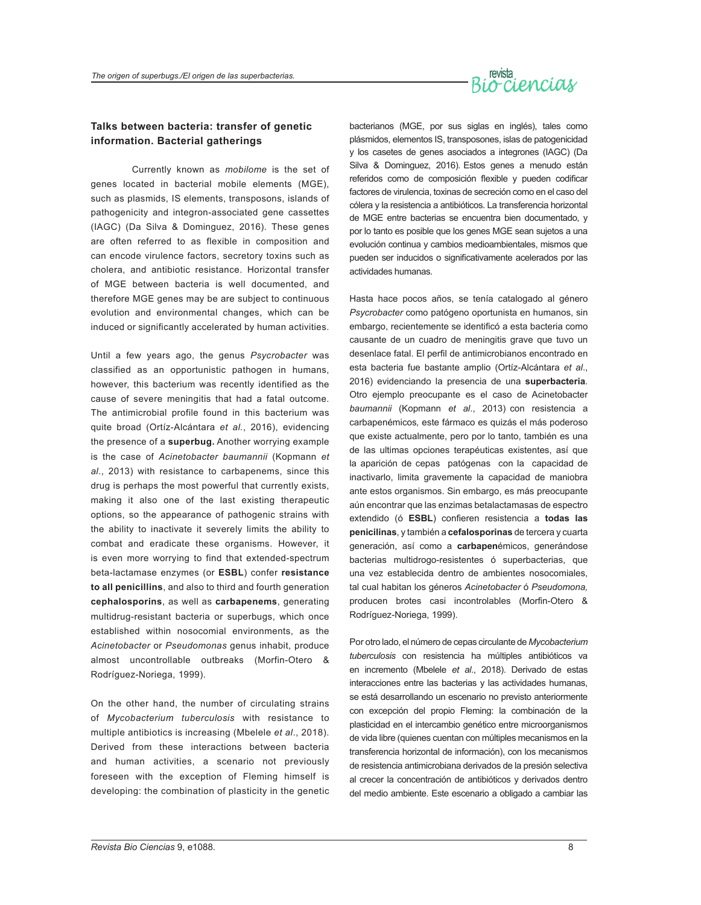#### **Talks between bacteria: transfer of genetic information. Bacterial gatherings**

Currently known as *mobilome* is the set of genes located in bacterial mobile elements (MGE), such as plasmids, IS elements, transposons, islands of pathogenicity and integron-associated gene cassettes (IAGC) (Da Silva & Dominguez, 2016). These genes are often referred to as flexible in composition and can encode virulence factors, secretory toxins such as cholera, and antibiotic resistance. Horizontal transfer of MGE between bacteria is well documented, and therefore MGE genes may be are subject to continuous evolution and environmental changes, which can be induced or significantly accelerated by human activities.

Until a few years ago, the genus *Psycrobacter* was classified as an opportunistic pathogen in humans, however, this bacterium was recently identified as the cause of severe meningitis that had a fatal outcome. The antimicrobial profile found in this bacterium was quite broad (Ortíz-Alcántara *et al.*, 2016), evidencing the presence of a **superbug.** Another worrying example is the case of *Acinetobacter baumannii* (Kopmann *et al*., 2013) with resistance to carbapenems, since this drug is perhaps the most powerful that currently exists, making it also one of the last existing therapeutic options, so the appearance of pathogenic strains with the ability to inactivate it severely limits the ability to combat and eradicate these organisms. However, it is even more worrying to find that extended-spectrum beta-lactamase enzymes (or **ESBL**) confer **resistance to all penicillins**, and also to third and fourth generation **cephalosporins**, as well as **carbapenems**, generating multidrug-resistant bacteria or superbugs, which once established within nosocomial environments, as the *Acinetobacter* or *Pseudomonas* genus inhabit, produce almost uncontrollable outbreaks (Morfin-Otero & Rodríguez-Noriega, 1999).

On the other hand, the number of circulating strains of *Mycobacterium tuberculosis* with resistance to multiple antibiotics is increasing (Mbelele *et al*., 2018). Derived from these interactions between bacteria and human activities, a scenario not previously foreseen with the exception of Fleming himself is developing: the combination of plasticity in the genetic

bacterianos (MGE, por sus siglas en inglés), tales como plásmidos, elementos IS, transposones, islas de patogenicidad y los casetes de genes asociados a integrones (IAGC) (Da Silva & Dominguez, 2016). Estos genes a menudo están referidos como de composición flexible y pueden codificar factores de virulencia, toxinas de secreción como en el caso del cólera y la resistencia a antibióticos. La transferencia horizontal de MGE entre bacterias se encuentra bien documentado, y por lo tanto es posible que los genes MGE sean sujetos a una evolución continua y cambios medioambientales, mismos que pueden ser inducidos o significativamente acelerados por las actividades humanas.

Hasta hace pocos años, se tenía catalogado al género *Psycrobacter* como patógeno oportunista en humanos, sin embargo, recientemente se identificó a esta bacteria como causante de un cuadro de meningitis grave que tuvo un desenlace fatal. El perfil de antimicrobianos encontrado en esta bacteria fue bastante amplio (Ortíz-Alcántara *et al*., 2016) evidenciando la presencia de una **superbacteria**. Otro ejemplo preocupante es el caso de Acinetobacter *baumannii* (Kopmann *et al*., 2013) con resistencia a carbapenémicos*,* este fármaco es quizás el más poderoso que existe actualmente, pero por lo tanto, también es una de las ultimas opciones terapéuticas existentes, así que la aparición de cepas patógenas con la capacidad de inactivarlo, limita gravemente la capacidad de maniobra ante estos organismos. Sin embargo, es más preocupante aún encontrar que las enzimas betalactamasas de espectro extendido (ó **ESBL**) confieren resistencia a **todas las penicilinas**, y también a **cefalosporinas** de tercera y cuarta generación, así como a **carbapen**émicos, generándose bacterias multidrogo-resistentes ó superbacterias, que una vez establecida dentro de ambientes nosocomiales, tal cual habitan los géneros *Acinetobacter* ó *Pseudomona,*  producen brotes casi incontrolables (Morfin-Otero & Rodríguez-Noriega, 1999).

Por otro lado, el número de cepas circulante de *Mycobacterium tuberculosis* con resistencia ha múltiples antibióticos va en incremento (Mbelele *et al*., 2018). Derivado de estas interacciones entre las bacterias y las actividades humanas, se está desarrollando un escenario no previsto anteriormente con excepción del propio Fleming: la combinación de la plasticidad en el intercambio genético entre microorganismos de vida libre (quienes cuentan con múltiples mecanismos en la transferencia horizontal de información), con los mecanismos de resistencia antimicrobiana derivados de la presión selectiva al crecer la concentración de antibióticos y derivados dentro del medio ambiente. Este escenario a obligado a cambiar las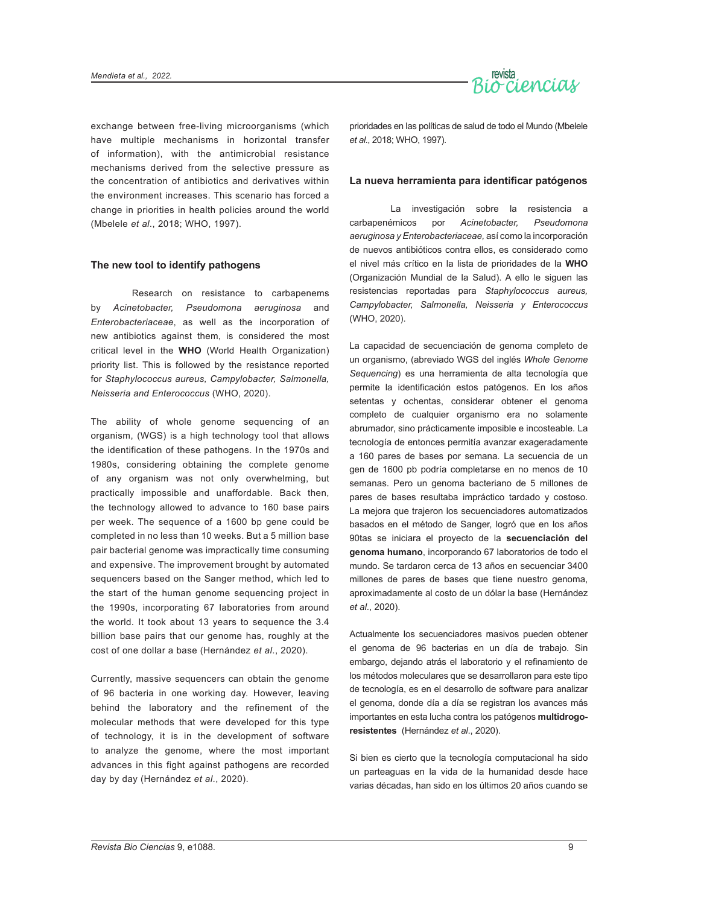

exchange between free-living microorganisms (which have multiple mechanisms in horizontal transfer of information), with the antimicrobial resistance mechanisms derived from the selective pressure as the concentration of antibiotics and derivatives within the environment increases. This scenario has forced a change in priorities in health policies around the world (Mbelele *et al*., 2018; WHO, 1997).

#### **The new tool to identify pathogens**

Research on resistance to carbapenems by *Acinetobacter, Pseudomona aeruginosa* and *Enterobacteriaceae*, as well as the incorporation of new antibiotics against them, is considered the most critical level in the **WHO** (World Health Organization) priority list. This is followed by the resistance reported for *Staphylococcus aureus, Campylobacter, Salmonella, Neisseria and Enterococcus* (WHO, 2020).

The ability of whole genome sequencing of an organism, (WGS) is a high technology tool that allows the identification of these pathogens. In the 1970s and 1980s, considering obtaining the complete genome of any organism was not only overwhelming, but practically impossible and unaffordable. Back then, the technology allowed to advance to 160 base pairs per week. The sequence of a 1600 bp gene could be completed in no less than 10 weeks. But a 5 million base pair bacterial genome was impractically time consuming and expensive. The improvement brought by automated sequencers based on the Sanger method, which led to the start of the human genome sequencing project in the 1990s, incorporating 67 laboratories from around the world. It took about 13 years to sequence the 3.4 billion base pairs that our genome has, roughly at the cost of one dollar a base (Hernández *et al*., 2020).

Currently, massive sequencers can obtain the genome of 96 bacteria in one working day. However, leaving behind the laboratory and the refinement of the molecular methods that were developed for this type of technology, it is in the development of software to analyze the genome, where the most important advances in this fight against pathogens are recorded day by day (Hernández *et al*., 2020).

prioridades en las políticas de salud de todo el Mundo (Mbelele *et al*., 2018; WHO, 1997).

#### **La nueva herramienta para identificar patógenos**

La investigación sobre la resistencia a carbapenémicos por *Acinetobacter, Pseudomona aeruginosa y Enterobacteriaceae,* así como la incorporación de nuevos antibióticos contra ellos, es considerado como el nivel más crítico en la lista de prioridades de la **WHO** (Organización Mundial de la Salud). A ello le siguen las resistencias reportadas para *Staphylococcus aureus, Campylobacter, Salmonella, Neisseria y Enterococcus* (WHO, 2020).

La capacidad de secuenciación de genoma completo de un organismo, (abreviado WGS del inglés *Whole Genome Sequencing*) es una herramienta de alta tecnología que permite la identificación estos patógenos. En los años setentas y ochentas, considerar obtener el genoma completo de cualquier organismo era no solamente abrumador, sino prácticamente imposible e incosteable. La tecnología de entonces permitía avanzar exageradamente a 160 pares de bases por semana. La secuencia de un gen de 1600 pb podría completarse en no menos de 10 semanas. Pero un genoma bacteriano de 5 millones de pares de bases resultaba impráctico tardado y costoso. La mejora que trajeron los secuenciadores automatizados basados en el método de Sanger, logró que en los años 90tas se iniciara el proyecto de la **secuenciación del genoma humano**, incorporando 67 laboratorios de todo el mundo. Se tardaron cerca de 13 años en secuenciar 3400 millones de pares de bases que tiene nuestro genoma, aproximadamente al costo de un dólar la base (Hernández *et al*., 2020).

Actualmente los secuenciadores masivos pueden obtener el genoma de 96 bacterias en un día de trabajo. Sin embargo, dejando atrás el laboratorio y el refinamiento de los métodos moleculares que se desarrollaron para este tipo de tecnología, es en el desarrollo de software para analizar el genoma, donde día a día se registran los avances más importantes en esta lucha contra los patógenos **multidrogoresistentes** (Hernández *et al*., 2020).

Si bien es cierto que la tecnología computacional ha sido un parteaguas en la vida de la humanidad desde hace varias décadas, han sido en los últimos 20 años cuando se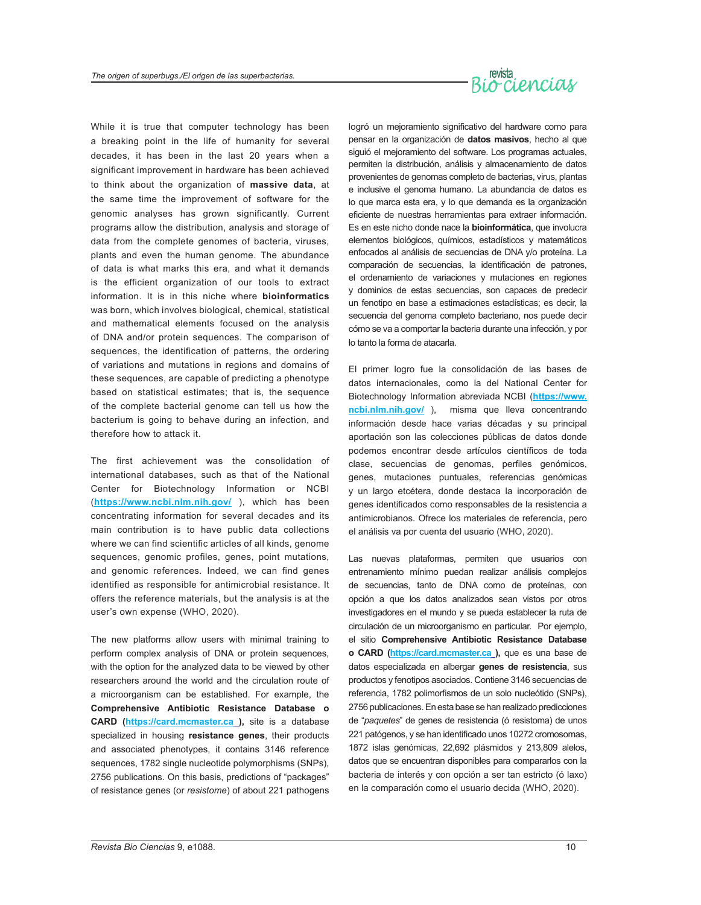## revista<br>Biorcienciay

While it is true that computer technology has been a breaking point in the life of humanity for several decades, it has been in the last 20 years when a significant improvement in hardware has been achieved to think about the organization of **massive data**, at the same time the improvement of software for the genomic analyses has grown significantly. Current programs allow the distribution, analysis and storage of data from the complete genomes of bacteria, viruses, plants and even the human genome. The abundance of data is what marks this era, and what it demands is the efficient organization of our tools to extract information. It is in this niche where **bioinformatics** was born, which involves biological, chemical, statistical and mathematical elements focused on the analysis of DNA and/or protein sequences. The comparison of sequences, the identification of patterns, the ordering of variations and mutations in regions and domains of these sequences, are capable of predicting a phenotype based on statistical estimates; that is, the sequence of the complete bacterial genome can tell us how the bacterium is going to behave during an infection, and therefore how to attack it.

The first achievement was the consolidation of international databases, such as that of the National Center for Biotechnology Information or NCBI (**<https://www.ncbi.nlm.nih.gov/>** ), which has been concentrating information for several decades and its main contribution is to have public data collections where we can find scientific articles of all kinds, genome sequences, genomic profiles, genes, point mutations, and genomic references. Indeed, we can find genes identified as responsible for antimicrobial resistance. It offers the reference materials, but the analysis is at the user's own expense (WHO, 2020).

The new platforms allow users with minimal training to perform complex analysis of DNA or protein sequences, with the option for the analyzed data to be viewed by other researchers around the world and the circulation route of a microorganism can be established. For example, the **Comprehensive Antibiotic Resistance Database o CARD (<https://card.mcmaster.ca> ),** site is a database specialized in housing **resistance genes**, their products and associated phenotypes, it contains 3146 reference sequences, 1782 single nucleotide polymorphisms (SNPs), 2756 publications. On this basis, predictions of "packages" of resistance genes (or *resistome*) of about 221 pathogens logró un mejoramiento significativo del hardware como para pensar en la organización de **datos masivos**, hecho al que siguió el mejoramiento del software. Los programas actuales, permiten la distribución, análisis y almacenamiento de datos provenientes de genomas completo de bacterias, virus, plantas e inclusive el genoma humano. La abundancia de datos es lo que marca esta era, y lo que demanda es la organización eficiente de nuestras herramientas para extraer información. Es en este nicho donde nace la **bioinformática**, que involucra elementos biológicos, químicos, estadísticos y matemáticos enfocados al análisis de secuencias de DNA y/o proteína. La comparación de secuencias, la identificación de patrones, el ordenamiento de variaciones y mutaciones en regiones y dominios de estas secuencias, son capaces de predecir un fenotipo en base a estimaciones estadísticas; es decir, la secuencia del genoma completo bacteriano, nos puede decir cómo se va a comportar la bacteria durante una infección, y por lo tanto la forma de atacarla.

El primer logro fue la consolidación de las bases de datos internacionales, como la del National Center for Biotechnology Information abreviada NCBI (**[https://www.](https://www.ncbi.nlm.nih.gov/) [ncbi.nlm.nih.gov/](https://www.ncbi.nlm.nih.gov/)** ), misma que lleva concentrando información desde hace varias décadas y su principal aportación son las colecciones públicas de datos donde podemos encontrar desde artículos científicos de toda clase, secuencias de genomas, perfiles genómicos, genes, mutaciones puntuales, referencias genómicas y un largo etcétera, donde destaca la incorporación de genes identificados como responsables de la resistencia a antimicrobianos. Ofrece los materiales de referencia, pero el análisis va por cuenta del usuario (WHO, 2020).

Las nuevas plataformas, permiten que usuarios con entrenamiento mínimo puedan realizar análisis complejos de secuencias, tanto de DNA como de proteínas, con opción a que los datos analizados sean vistos por otros investigadores en el mundo y se pueda establecer la ruta de circulación de un microorganismo en particular. Por ejemplo, el sitio **Comprehensive Antibiotic Resistance Database o CARD [\(https://card.mcmaster.ca](https://card.mcmaster.ca) ),** que es una base de datos especializada en albergar **genes de resistencia**, sus productos y fenotipos asociados. Contiene 3146 secuencias de referencia, 1782 polimorfismos de un solo nucleótido (SNPs), 2756 publicaciones. En esta base se han realizado predicciones de "*paquetes*" de genes de resistencia (ó resistoma) de unos 221 patógenos, y se han identificado unos 10272 cromosomas, 1872 islas genómicas, 22,692 plásmidos y 213,809 alelos, datos que se encuentran disponibles para compararlos con la bacteria de interés y con opción a ser tan estricto (ó laxo) en la comparación como el usuario decida (WHO, 2020).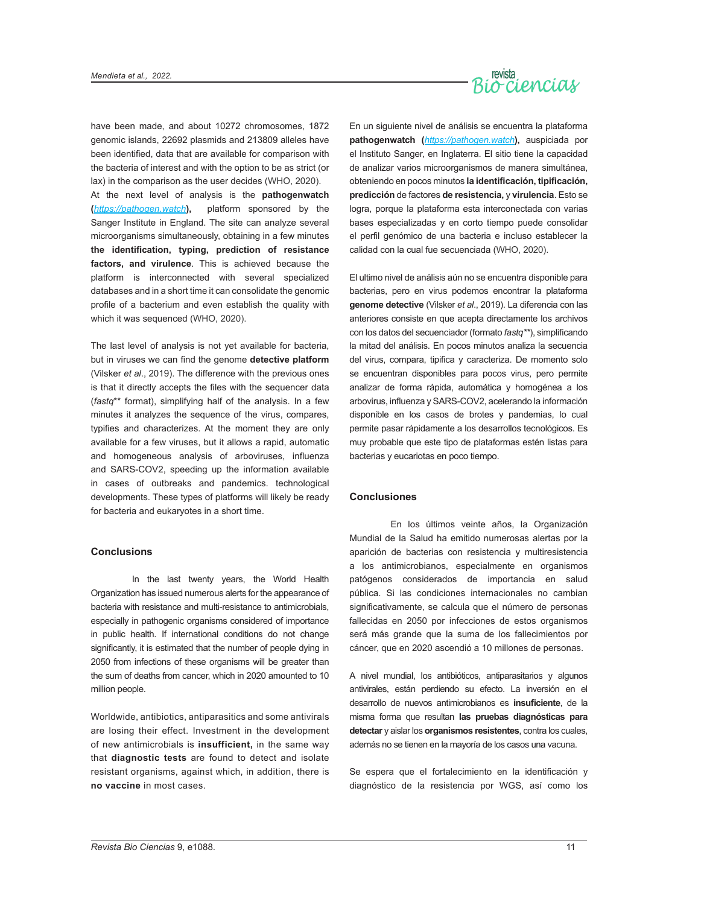

have been made, and about 10272 chromosomes, 1872 genomic islands, 22692 plasmids and 213809 alleles have been identified, data that are available for comparison with the bacteria of interest and with the option to be as strict (or lax) in the comparison as the user decides (WHO, 2020).

At the next level of analysis is the **pathogenwatch (***<https://pathogen.watch>***),** platform sponsored by the Sanger Institute in England. The site can analyze several microorganisms simultaneously, obtaining in a few minutes **the identification, typing, prediction of resistance factors, and virulence**. This is achieved because the platform is interconnected with several specialized databases and in a short time it can consolidate the genomic profile of a bacterium and even establish the quality with which it was sequenced (WHO, 2020).

The last level of analysis is not yet available for bacteria, but in viruses we can find the genome **detective platform**  (Vilsker *et al*., 2019). The difference with the previous ones is that it directly accepts the files with the sequencer data (*fastq*\*\* format), simplifying half of the analysis. In a few minutes it analyzes the sequence of the virus, compares, typifies and characterizes. At the moment they are only available for a few viruses, but it allows a rapid, automatic and homogeneous analysis of arboviruses, influenza and SARS-COV2, speeding up the information available in cases of outbreaks and pandemics. technological developments. These types of platforms will likely be ready for bacteria and eukaryotes in a short time.

#### **Conclusions**

In the last twenty years, the World Health Organization has issued numerous alerts for the appearance of bacteria with resistance and multi-resistance to antimicrobials, especially in pathogenic organisms considered of importance in public health. If international conditions do not change significantly, it is estimated that the number of people dying in 2050 from infections of these organisms will be greater than the sum of deaths from cancer, which in 2020 amounted to 10 million people.

Worldwide, antibiotics, antiparasitics and some antivirals are losing their effect. Investment in the development of new antimicrobials is **insufficient,** in the same way that **diagnostic tests** are found to detect and isolate resistant organisms, against which, in addition, there is **no vaccine** in most cases.

En un siguiente nivel de análisis se encuentra la plataforma **pathogenwatch (***<https://pathogen.watch>***),** auspiciada por el Instituto Sanger, en Inglaterra. El sitio tiene la capacidad de analizar varios microorganismos de manera simultánea, obteniendo en pocos minutos **la identificación, tipificación, predicción** de factores **de resistencia,** y **virulencia**. Esto se logra, porque la plataforma esta interconectada con varias bases especializadas y en corto tiempo puede consolidar el perfil genómico de una bacteria e incluso establecer la calidad con la cual fue secuenciada (WHO, 2020).

El ultimo nivel de análisis aún no se encuentra disponible para bacterias, pero en virus podemos encontrar la plataforma **genome detective** (Vilsker *et al*., 2019). La diferencia con las anteriores consiste en que acepta directamente los archivos con los datos del secuenciador (formato *fastq\*\**), simplificando la mitad del análisis. En pocos minutos analiza la secuencia del virus, compara, tipifica y caracteriza. De momento solo se encuentran disponibles para pocos virus, pero permite analizar de forma rápida, automática y homogénea a los arbovirus, influenza y SARS-COV2, acelerando la información disponible en los casos de brotes y pandemias, lo cual permite pasar rápidamente a los desarrollos tecnológicos. Es muy probable que este tipo de plataformas estén listas para bacterias y eucariotas en poco tiempo.

#### **Conclusiones**

En los últimos veinte años, la Organización Mundial de la Salud ha emitido numerosas alertas por la aparición de bacterias con resistencia y multiresistencia a los antimicrobianos, especialmente en organismos patógenos considerados de importancia en salud pública. Si las condiciones internacionales no cambian significativamente, se calcula que el número de personas fallecidas en 2050 por infecciones de estos organismos será más grande que la suma de los fallecimientos por cáncer, que en 2020 ascendió a 10 millones de personas.

A nivel mundial, los antibióticos, antiparasitarios y algunos antivirales, están perdiendo su efecto. La inversión en el desarrollo de nuevos antimicrobianos es **insuficiente**, de la misma forma que resultan **las pruebas diagnósticas para detectar** y aislar los **organismos resistentes**, contra los cuales, además no se tienen en la mayoría de los casos una vacuna.

Se espera que el fortalecimiento en la identificación y diagnóstico de la resistencia por WGS, así como los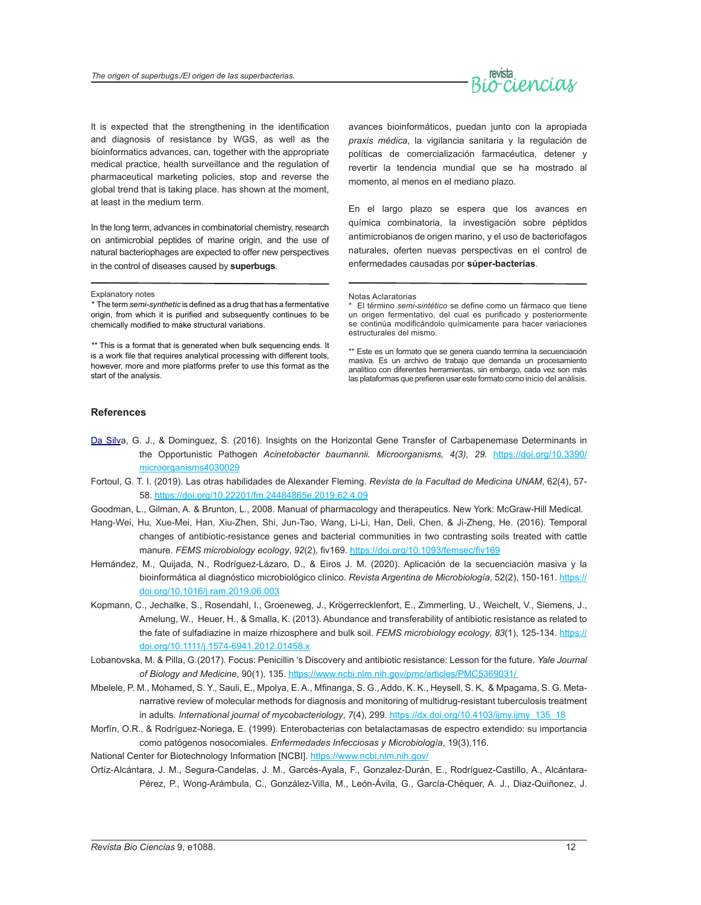

It is expected that the strengthening in the identification and diagnosis of resistance by WGS, as well as the bioinformatics advances, can, together with the appropriate medical practice, health surveillance and the regulation of pharmaceutical marketing policies, stop and reverse the global trend that is taking place. has shown at the moment, at least in the medium term.

In the long term, advances in combinatorial chemistry, research on antimicrobial peptides of marine origin, and the use of natural bacteriophages are expected to offer new perspectives in the control of diseases caused by **superbugs**.

#### Explanatory notes

*\** The term *semi-synthetic* is defined as a drug that has a fermentative origin, from which it is purified and subsequently continues to be chemically modified to make structural variations.

*\*\** This is a format that is generated when bulk sequencing ends. It is a work file that requires analytical processing with different tools, however, more and more platforms prefer to use this format as the start of the analysis.

avances bioinformáticos, puedan junto con la apropiada *praxis médica*, la vigilancia sanitaria y la regulación de políticas de comercialización farmacéutica, detener y revertir la tendencia mundial que se ha mostrado al momento, al menos en el mediano plazo.

En el largo plazo se espera que los avances en química combinatoria, la investigación sobre péptidos antimicrobianos de origen marino, y el uso de bacteriofagos naturales, oferten nuevas perspectivas en el control de enfermedades causadas por **súper-bacterias**.

\*\* Este es un formato que se genera cuando termina la secuenciación masiva. Es un archivo de trabajo que demanda un procesamiento analítico con diferentes herramientas, sin embargo, cada vez son más las plataformas que prefieren usar este formato como inicio del análisis.

#### **References**

- Da Silva, G. J., & Dominguez, S. (2016). Insights on the Horizontal Gene Transfer of Carbapenemase Determinants in the Opportunistic Pathogen *Acinetobacter baumannii. M[icroorganisms](https://www.ncbi.nlm.nih.gov/pmc/articles/PMC5039589/), 4(3), 29.* [https://doi.org/10.3390/](https://doi.org/10.3390/microorganisms4030029) [microorganisms4030029](https://doi.org/10.3390/microorganisms4030029)
- Fortoul, G. T. I. (2019). Las otras habilidades de Alexander Fleming. *Revista de la Facultad de Medicina UNAM*, 62(4), 57- 58. <https://doi.org/10.22201/fm.24484865e.2019.62.4.09>
- Goodman, L., Gilman, A. & Brunton, L., 2008. Manual of pharmacology and therapeutics. New York: McGraw-Hill Medical.
- Hang-Wei, Hu, Xue-Mei, Han, Xiu-Zhen, Shi, Jun-Tao, Wang, Li-Li, Han, Deli, Chen, & Ji-Zheng, He. (2016). Temporal changes of antibiotic-resistance genes and bacterial communities in two contrasting soils treated with cattle manure. *FEMS microbiology ecology*, *92*(2), fiv169. <https://doi.org/10.1093/femsec/fiv169>
- Hernández, M., Quijada, N., Rodríguez-Lázaro, D., & Eiros J. M. (2020). Aplicación de la secuenciación masiva y la bioinformática al diagnóstico microbiológico clínico. *Revista Argentina de Microbiología*, 52(2), 150-161. [https://](https://doi.org/10.1016/j.ram.2019.06.003) [doi.org/10.1016/j.ram.2019.06.003](https://doi.org/10.1016/j.ram.2019.06.003)
- Kopmann, C., Jechalke, S., Rosendahl, I., Groeneweg, J., Krögerrecklenfort, E., Zimmerling, U., Weichelt, V., Siemens, J., Amelung, W., Heuer, H., & Smalla, K. (2013). Abundance and transferability of antibiotic resistance as related to the fate of sulfadiazine in maize rhizosphere and bulk soil. *FEMS microbiology ecology*, *83*(1), 125-134. [https://](https://doi.org/10.1111/j.1574-6941.2012.01458.x) [doi.org/10.1111/j.1574-6941.2012.01458.x](https://doi.org/10.1111/j.1574-6941.2012.01458.x)
- Lobanovska, M. & Pilla, G.(2017). Focus: Penicillin 's Discovery and antibiotic resistance: Lesson for the future. *Yale Journal of Biology and Medicine*, 90(1), 135. <https://www.ncbi.nlm.nih.gov/pmc/articles/PMC5369031/>
- Mbelele, P. M., Mohamed, S. Y., Sauli, E., Mpolya, E. A., Mfinanga, S. G., Addo, K. K., Heysell, S. K, & Mpagama, S. G. Metanarrative review of molecular methods for diagnosis and monitoring of multidrug-resistant tuberculosis treatment in adults. *International journal of mycobacteriology*, *7*(4), 299. [https://dx.doi.org/10.4103/ijmy.ijmy\\_135\\_18](https://dx.doi.org/10.4103/ijmy.ijmy_135_18)
- Morfín, O.R., & Rodríguez-Noriega, E. (1999). Enterobacterias con betalactamasas de espectro extendido: su importancia como patógenos nosocomiales. *Enfermedades Infecciosas y Microbiología*, 19(3),116.

National Center for Biotechnology Information [NCBI].<https://www.ncbi.nlm.nih.gov/>

Ortíz-Alcántara, J. M., Segura-Candelas, J. M., Garcés-Ayala, F., Gonzalez-Durán, E., Rodríguez-Castillo, A., Alcántara-Pérez, P., Wong-Arámbula, C., González-Villa, M., León-Ávila, G., García-Chéquer, A. J., Diaz-Quiñonez, J.

Notas Aclaratorias

<sup>\*</sup> El término *semi-sintético* se define como un fármaco que tiene un origen fermentativo, del cual es purificado y posteriormente se continúa modificándolo químicamente para hacer variaciones estructurales del mismo.